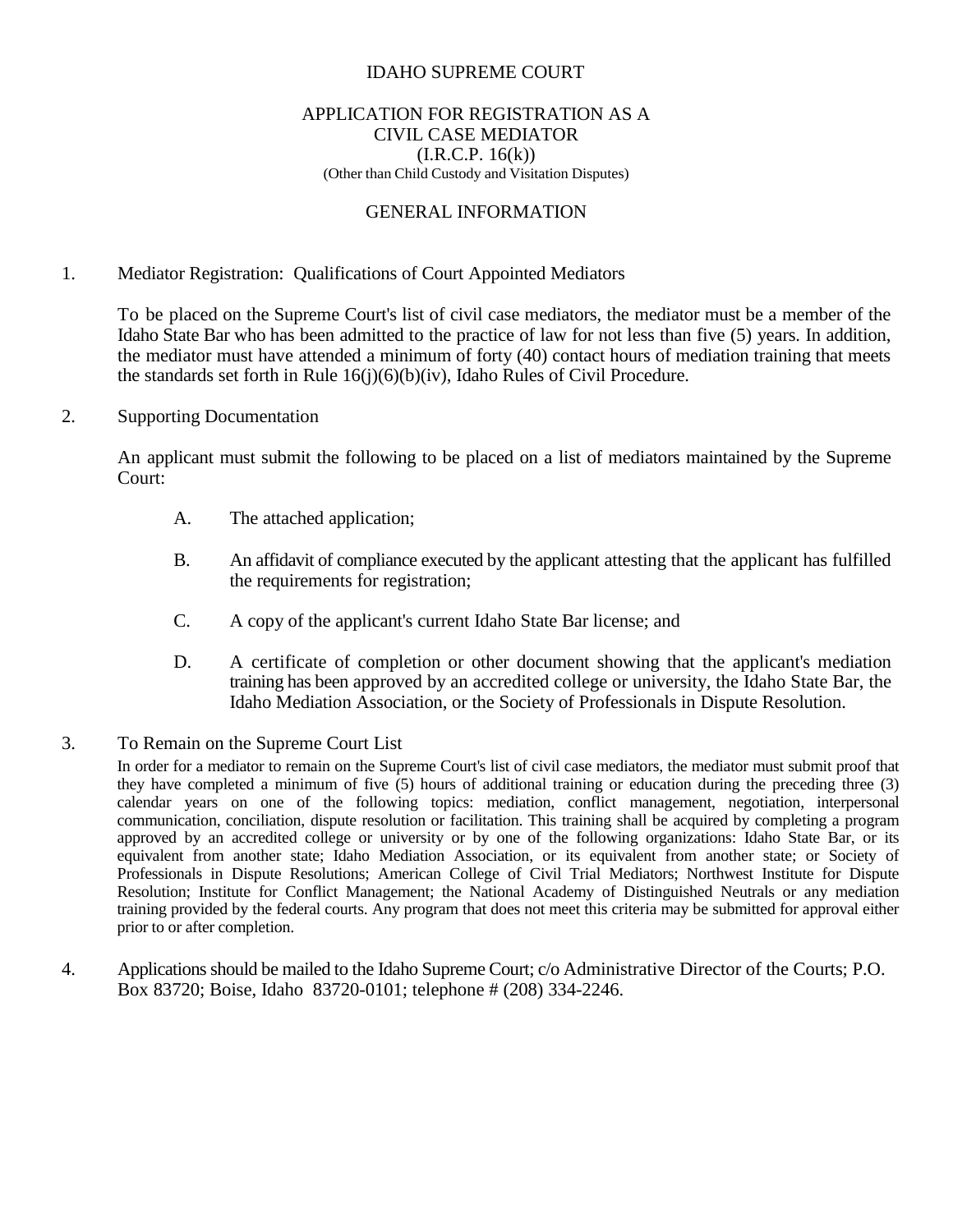#### IDAHO SUPREME COURT

#### APPLICATION FOR REGISTRATION AS A CIVIL CASE MEDIATOR  $(I.R.C.P. 16(k))$ (Other than Child Custody and Visitation Disputes)

#### GENERAL INFORMATION

#### 1. Mediator Registration: Qualifications of Court Appointed Mediators

To be placed on the Supreme Court's list of civil case mediators, the mediator must be a member of the Idaho State Bar who has been admitted to the practice of law for not less than five (5) years. In addition, the mediator must have attended a minimum of forty (40) contact hours of mediation training that meets the standards set forth in Rule 16(j)(6)(b)(iv), Idaho Rules of Civil Procedure.

#### 2. Supporting Documentation

An applicant must submit the following to be placed on a list of mediators maintained by the Supreme Court:

- A. The attached application;
- B. An affidavit of compliance executed by the applicant attesting that the applicant has fulfilled the requirements for registration;
- C. A copy of the applicant's current Idaho State Bar license; and
- D. A certificate of completion or other document showing that the applicant's mediation training has been approved by an accredited college or university, the Idaho State Bar, the Idaho Mediation Association, or the Society of Professionals in Dispute Resolution.
- 3. To Remain on the Supreme Court List

In order for a mediator to remain on the Supreme Court's list of civil case mediators, the mediator must submit proof that they have completed a minimum of five (5) hours of additional training or education during the preceding three (3) calendar years on one of the following topics: mediation, conflict management, negotiation, interpersonal communication, conciliation, dispute resolution or facilitation. This training shall be acquired by completing a program approved by an accredited college or university or by one of the following organizations: Idaho State Bar, or its equivalent from another state; Idaho Mediation Association, or its equivalent from another state; or Society of Professionals in Dispute Resolutions; American College of Civil Trial Mediators; Northwest Institute for Dispute Resolution; Institute for Conflict Management; the National Academy of Distinguished Neutrals or any mediation training provided by the federal courts. Any program that does not meet this criteria may be submitted for approval either prior to or after completion.

4. Applicationsshould be mailed to the Idaho Supreme Court; c/o Administrative Director of the Courts; P.O. Box 83720; Boise, Idaho 83720-0101; telephone # (208) 334-2246.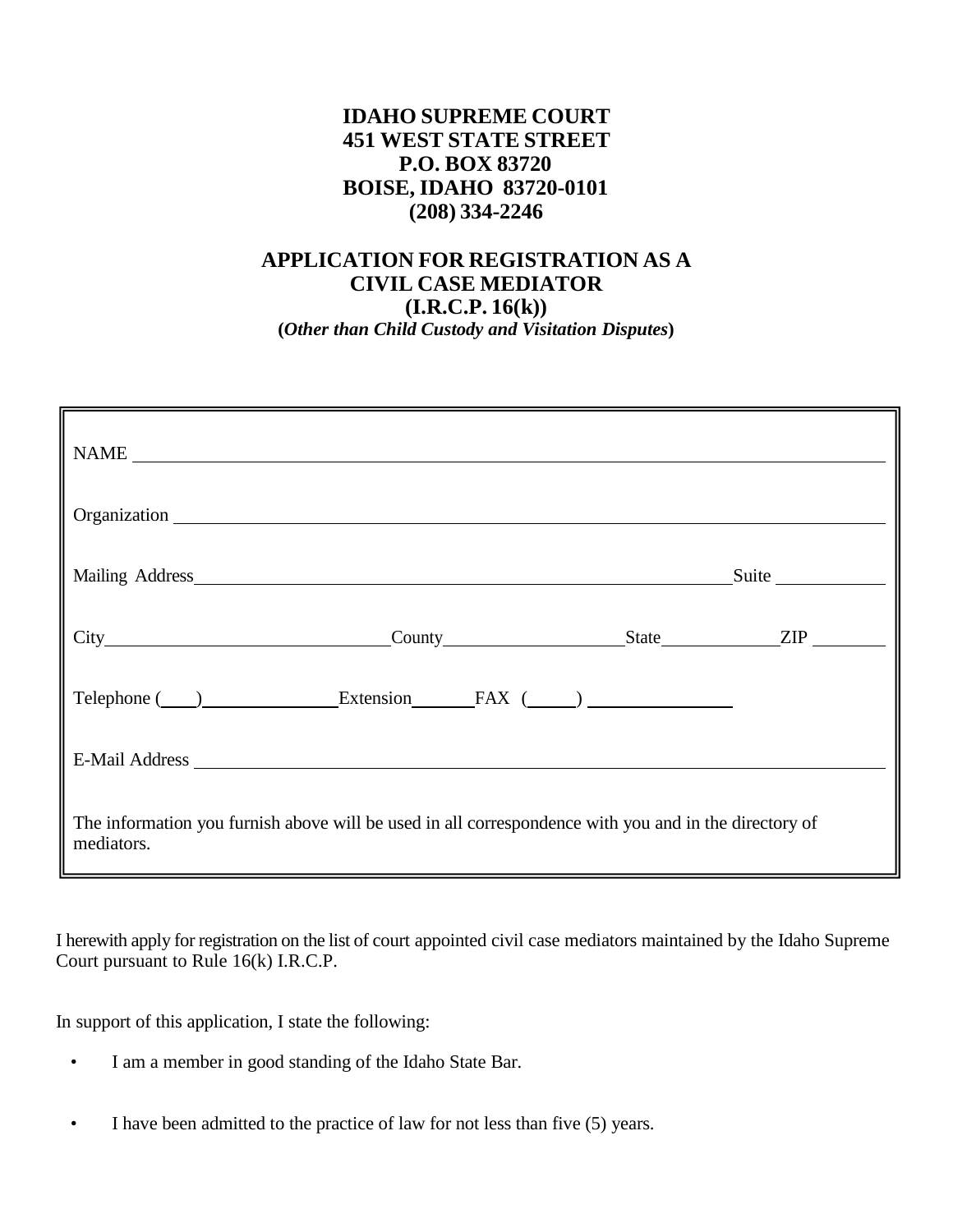## **IDAHO SUPREME COURT 451 WEST STATE STREET P.O. BOX 83720 BOISE, IDAHO 83720-0101 (208) 334-2246**

# **APPLICATION FOR REGISTRATION AS A CIVIL CASE MEDIATOR**

**(I.R.C.P. 16(k)) (***Other than Child Custody and Visitation Disputes***)**

| NAME                                                                                                                |  |  |       |
|---------------------------------------------------------------------------------------------------------------------|--|--|-------|
|                                                                                                                     |  |  |       |
|                                                                                                                     |  |  | Suite |
|                                                                                                                     |  |  |       |
| Telephone ( ) Extension FAX ( )                                                                                     |  |  |       |
|                                                                                                                     |  |  |       |
| The information you furnish above will be used in all correspondence with you and in the directory of<br>mediators. |  |  |       |

I herewith apply for registration on the list of court appointed civil case mediators maintained by the Idaho Supreme Court pursuant to Rule 16(k) I.R.C.P.

In support of this application, I state the following:

- I am a member in good standing of the Idaho State Bar.
- I have been admitted to the practice of law for not less than five (5) years.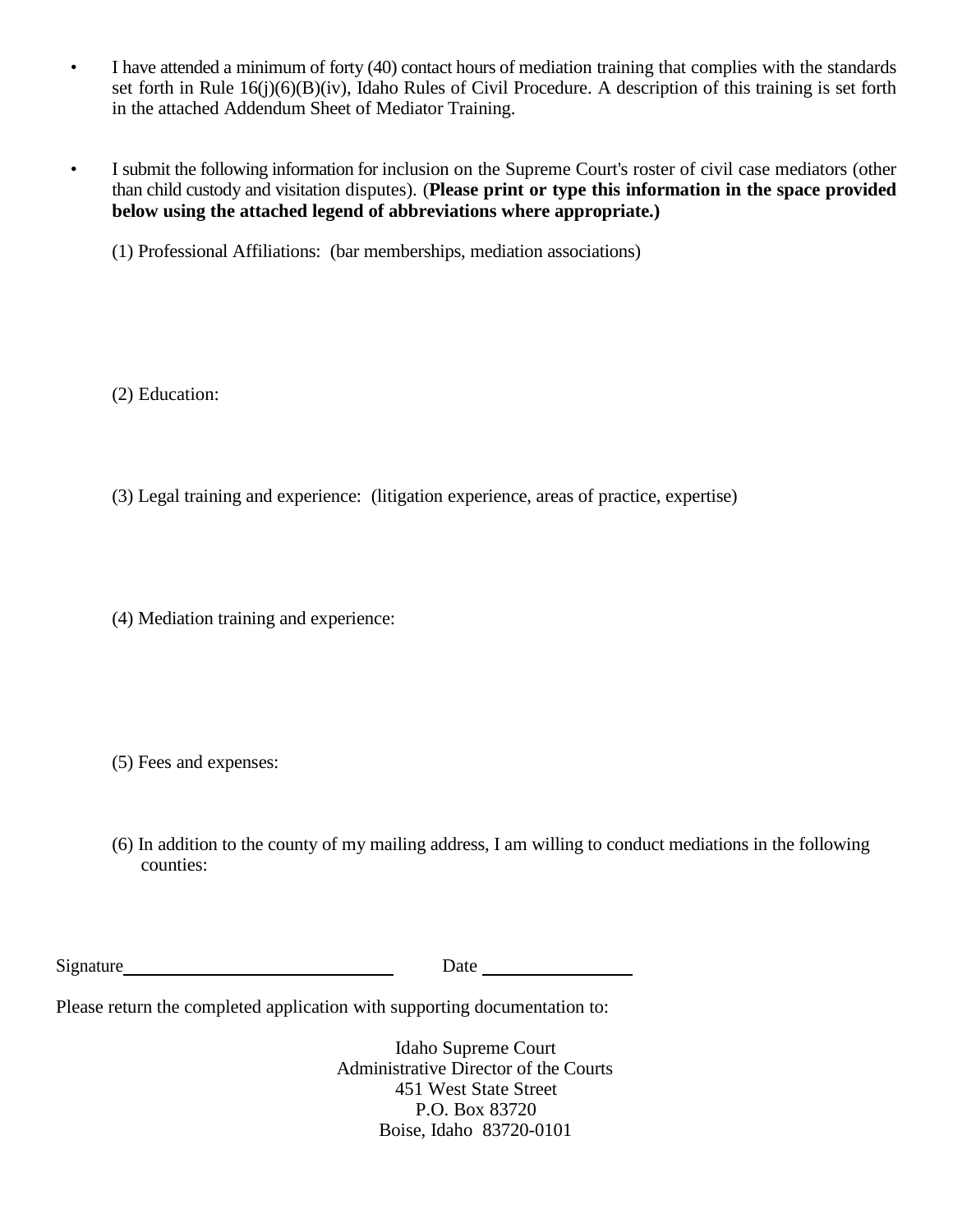- I have attended a minimum of forty (40) contact hours of mediation training that complies with the standards set forth in Rule 16(j)(6)(B)(iv), Idaho Rules of Civil Procedure. A description of this training is set forth in the attached Addendum Sheet of Mediator Training.
- I submit the following information for inclusion on the Supreme Court's roster of civil case mediators (other than child custody and visitation disputes). (**Please print or type this information in the space provided below using the attached legend of abbreviations where appropriate.)**
	- (1) Professional Affiliations: (bar memberships, mediation associations)

(2) Education:

(3) Legal training and experience: (litigation experience, areas of practice, expertise)

(4) Mediation training and experience:

(5) Fees and expenses:

(6) In addition to the county of my mailing address, I am willing to conduct mediations in the following counties:

| Signature | Date |
|-----------|------|
|           |      |

Please return the completed application with supporting documentation to:

Idaho Supreme Court Administrative Director of the Courts 451 West State Street P.O. Box 83720 Boise, Idaho 83720-0101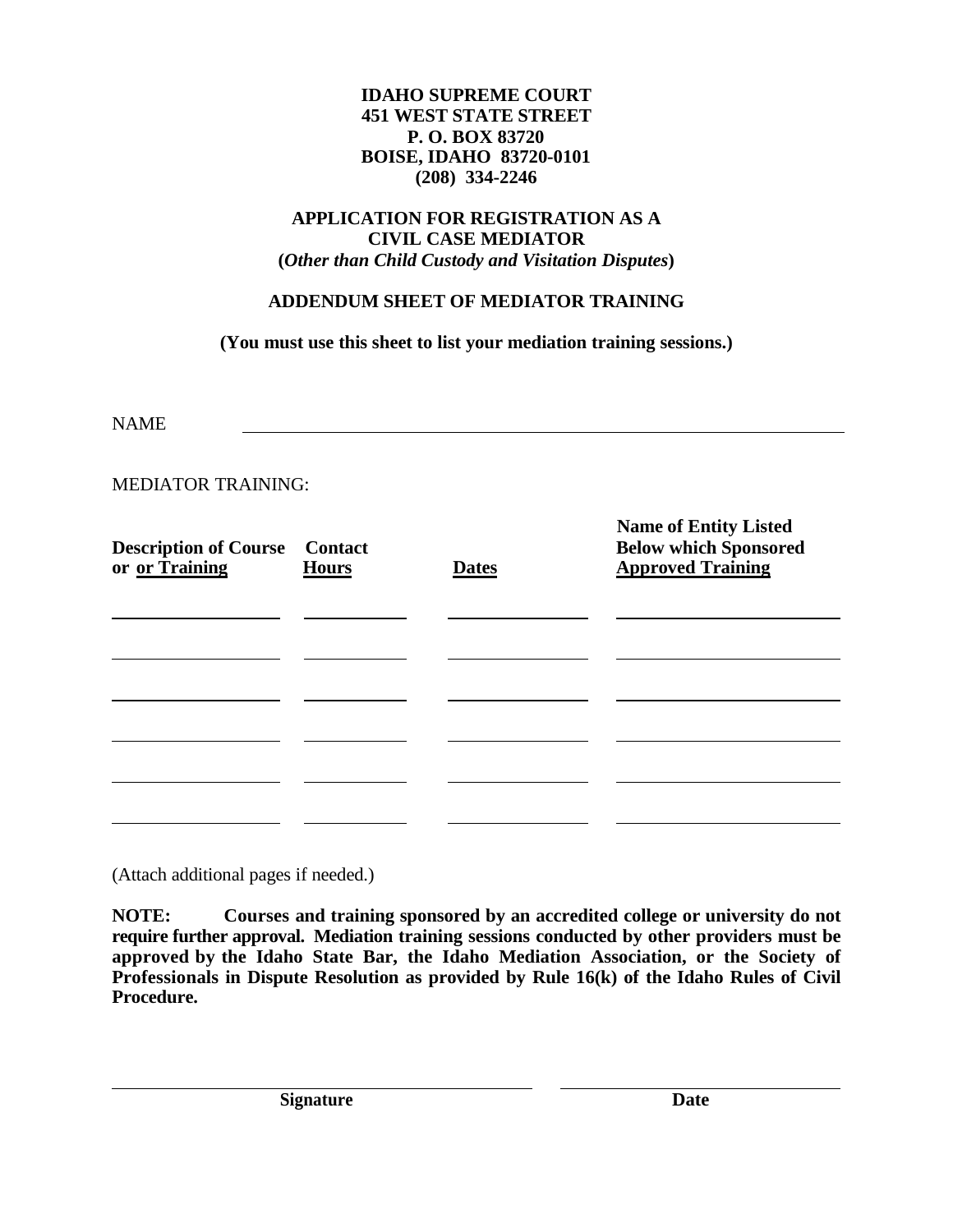#### **IDAHO SUPREME COURT 451 WEST STATE STREET P. O. BOX 83720 BOISE, IDAHO 83720-0101 (208) 334-2246**

## **APPLICATION FOR REGISTRATION AS A CIVIL CASE MEDIATOR (***Other than Child Custody and Visitation Disputes***)**

## **ADDENDUM SHEET OF MEDIATOR TRAINING**

**(You must use this sheet to list your mediation training sessions.)**

NAME

## MEDIATOR TRAINING:

| <b>Description of Course</b> Contact<br>or or Training | <b>Hours</b> | <b>Dates</b> | Name of Entity Listed<br><b>Below which Sponsored</b><br><b>Approved Training</b> |
|--------------------------------------------------------|--------------|--------------|-----------------------------------------------------------------------------------|
|                                                        |              |              |                                                                                   |
|                                                        |              |              |                                                                                   |
|                                                        |              |              |                                                                                   |
|                                                        |              |              |                                                                                   |
|                                                        |              |              |                                                                                   |
|                                                        |              |              |                                                                                   |

(Attach additional pages if needed.)

**NOTE: Courses and training sponsored by an accredited college or university do not require further approval. Mediation training sessions conducted by other providers must be approved by the Idaho State Bar, the Idaho Mediation Association, or the Society of Professionals in Dispute Resolution as provided by Rule 16(k) of the Idaho Rules of Civil Procedure.**

**Name of Entity Listed**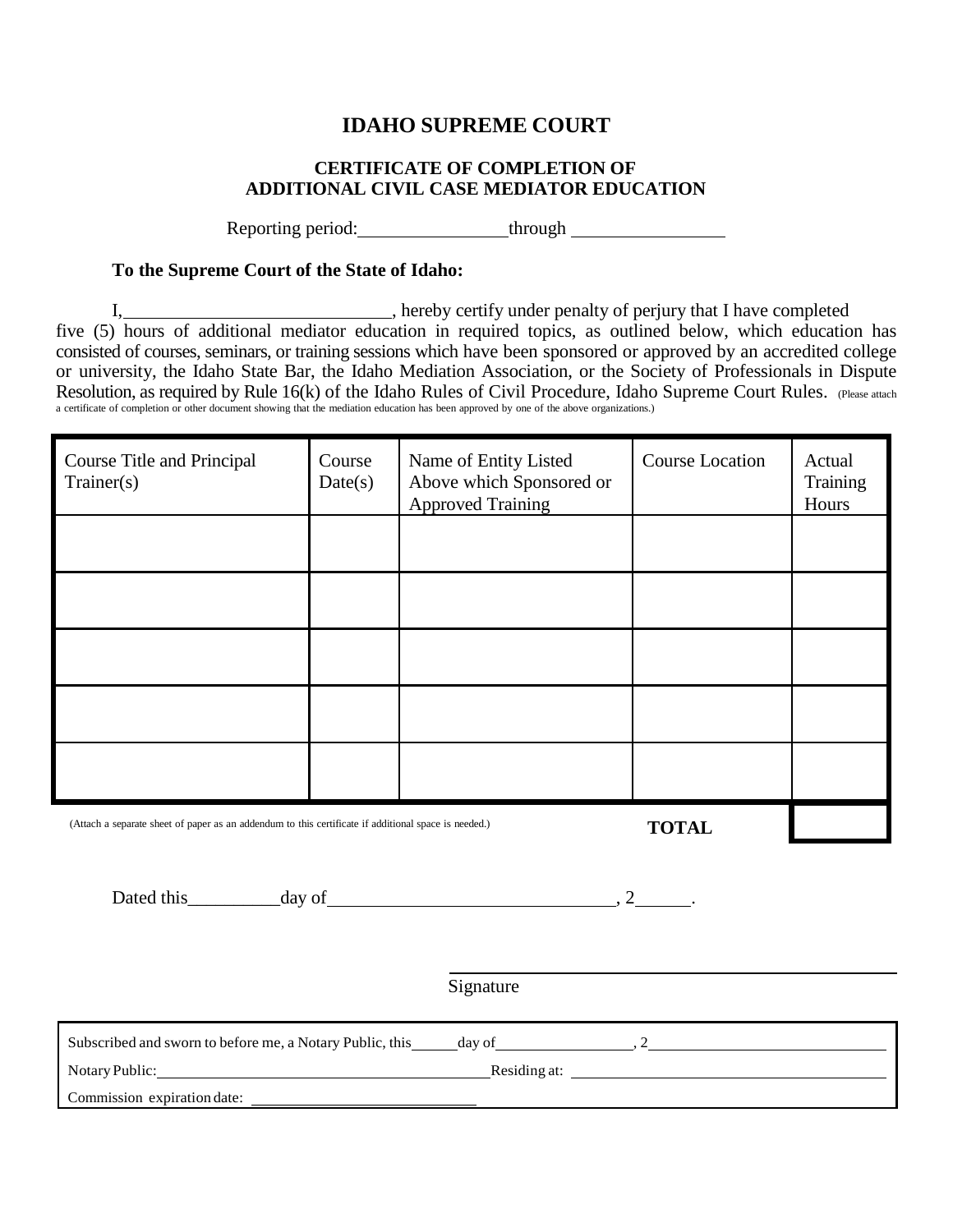# **IDAHO SUPREME COURT**

## **CERTIFICATE OF COMPLETION OF ADDITIONAL CIVIL CASE MEDIATOR EDUCATION**

Reporting period: through through

#### **To the Supreme Court of the State of Idaho:**

I, 1. The subset of person in the set of person in the completed set of person in the set of person in the completed  $\sum_{n=1}^{\infty}$  and  $\sum_{n=1}^{\infty}$  and  $\sum_{n=1}^{\infty}$  and  $\sum_{n=1}^{\infty}$  and  $\sum_{n=1}^{\infty}$  and  $\sum_{n=1}^{\$ five (5) hours of additional mediator education in required topics, as outlined below, which education has consisted of courses, seminars, or training sessions which have been sponsored or approved by an accredited college or university, the Idaho State Bar, the Idaho Mediation Association, or the Society of Professionals in Dispute Resolution, as required by Rule 16(k) of the Idaho Rules of Civil Procedure, Idaho Supreme Court Rules. (Please attach a certificate of completion or other document showing that the mediation education has been approved by one of the above organizations.)

| Course Title and Principal<br>Trainer(s)                                                                             | Course<br>Date(s) | Name of Entity Listed<br>Above which Sponsored or<br><b>Approved Training</b> | Course Location | Actual<br>Training<br>Hours |
|----------------------------------------------------------------------------------------------------------------------|-------------------|-------------------------------------------------------------------------------|-----------------|-----------------------------|
|                                                                                                                      |                   |                                                                               |                 |                             |
|                                                                                                                      |                   |                                                                               |                 |                             |
|                                                                                                                      |                   |                                                                               |                 |                             |
|                                                                                                                      |                   |                                                                               |                 |                             |
|                                                                                                                      |                   |                                                                               |                 |                             |
| (Attach a separate sheet of paper as an addendum to this certificate if additional space is needed.)<br><b>TOTAL</b> |                   |                                                                               |                 |                             |

| Dated this<br>uav. |  |  |
|--------------------|--|--|
|                    |  |  |

Signature

| Subscribed and sworn to before me, a Notary Public, this | day of       |  |
|----------------------------------------------------------|--------------|--|
| Notary Public:                                           | Residing at: |  |
| Commission expiration date:                              |              |  |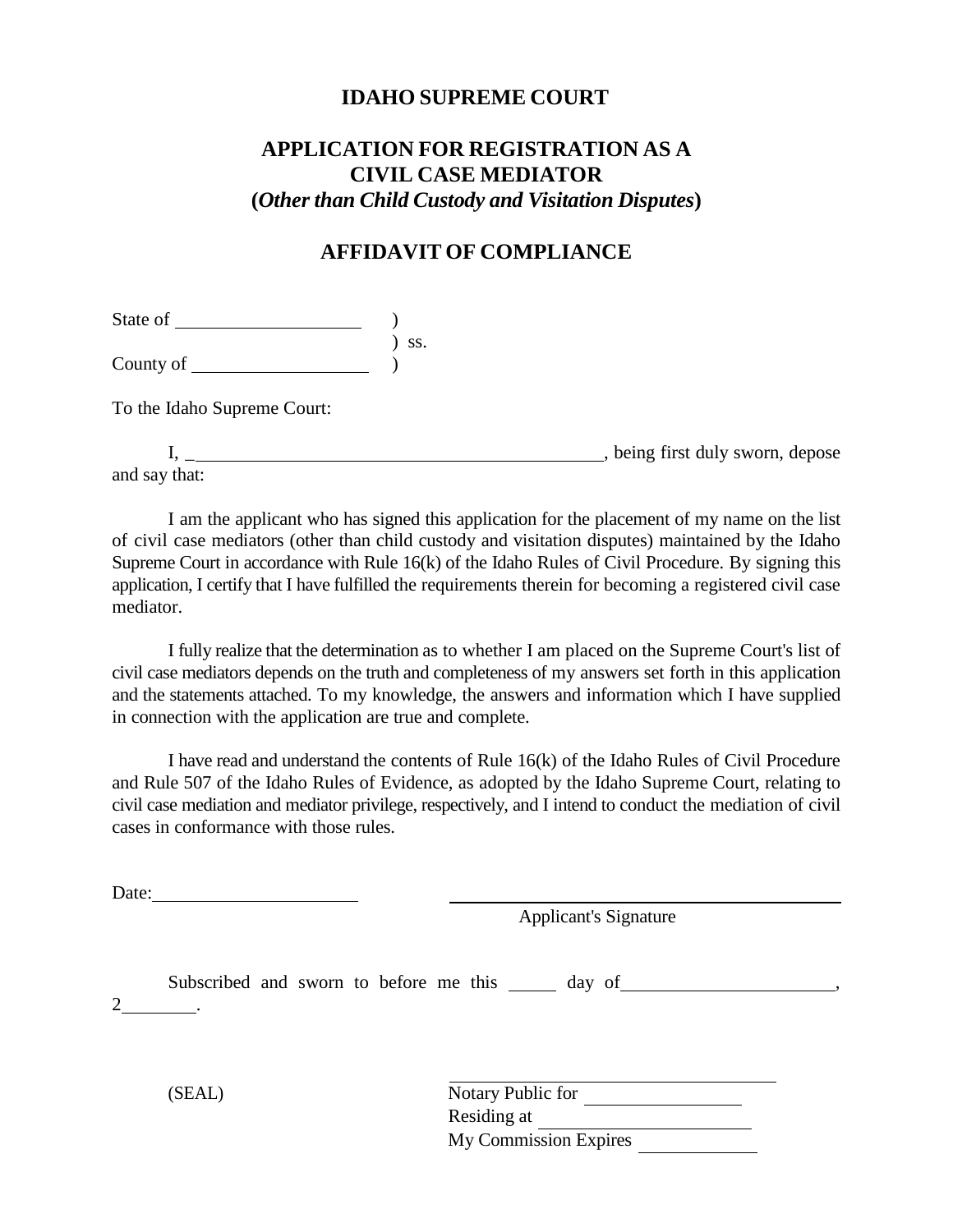## **IDAHO SUPREME COURT**

# **APPLICATION FOR REGISTRATION AS A CIVIL CASE MEDIATOR (***Other than Child Custody and Visitation Disputes***)**

## **AFFIDAVIT OF COMPLIANCE**

State of )

County of ) ss. )

To the Idaho Supreme Court:

I, \_ , being first duly sworn, depose and say that:

I am the applicant who has signed this application for the placement of my name on the list of civil case mediators (other than child custody and visitation disputes) maintained by the Idaho Supreme Court in accordance with Rule 16(k) of the Idaho Rules of Civil Procedure. By signing this application, I certify that I have fulfilled the requirements therein for becoming a registered civil case mediator.

I fully realize that the determination as to whether I am placed on the Supreme Court's list of civil case mediators depends on the truth and completeness of my answers set forth in this application and the statements attached. To my knowledge, the answers and information which I have supplied in connection with the application are true and complete.

I have read and understand the contents of Rule 16(k) of the Idaho Rules of Civil Procedure and Rule 507 of the Idaho Rules of Evidence, as adopted by the Idaho Supreme Court, relating to civil case mediation and mediator privilege, respectively, and I intend to conduct the mediation of civil cases in conformance with those rules.

Date:

Applicant's Signature

Subscribed and sworn to before me this  $\_\_\_\_$  day of  $\_\_\_\_\_\_$ ,  $2$   $\qquad$ 

(SEAL) Notary Public for Residing at My Commission Expires